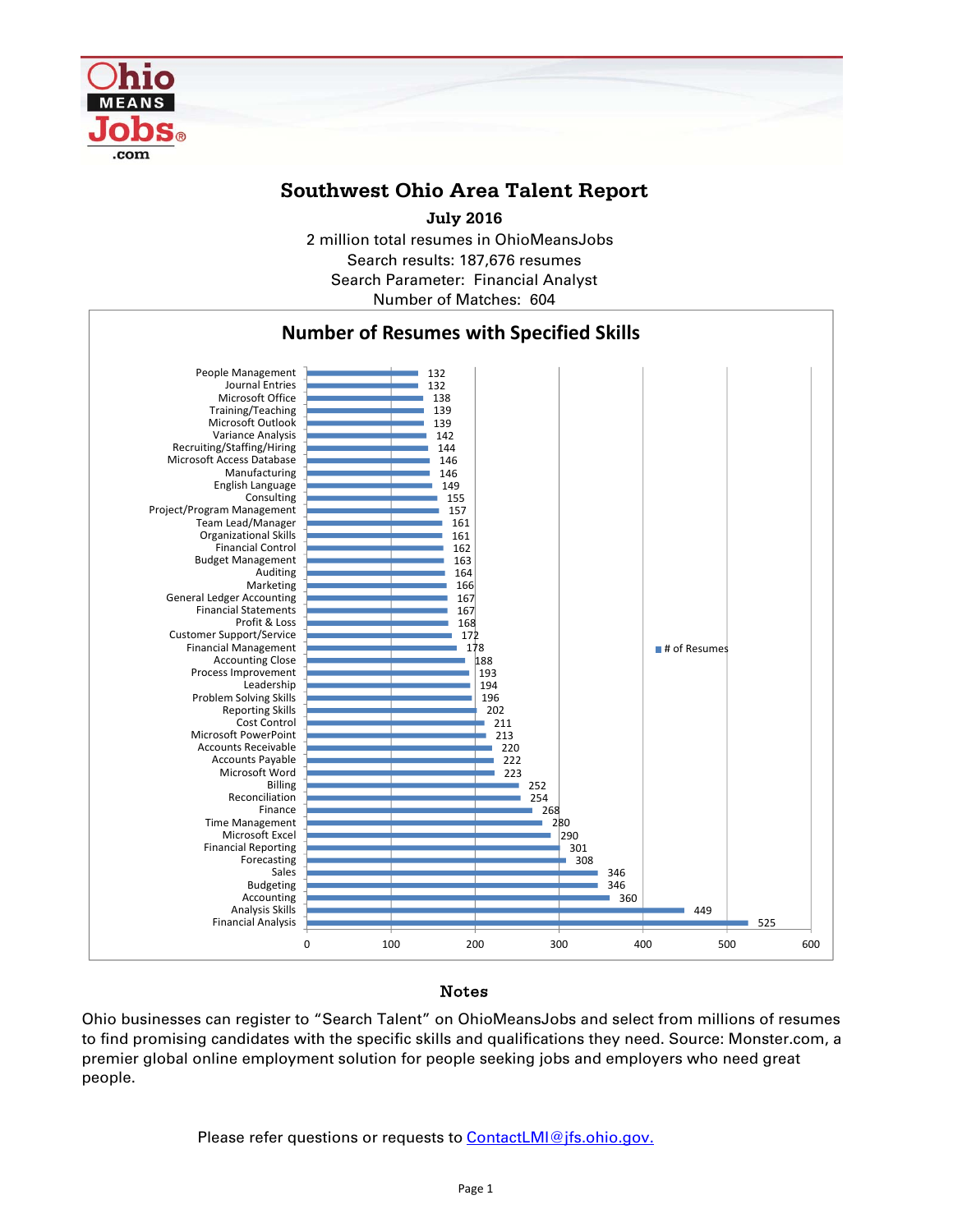

# **Southwest Ohio Area Talent Report**

2 million total resumes in OhioMeansJobs Search results: 187,676 resumes Number of Matches: 604 Search Parameter: Financial Analyst **July 2016**



### Notes

Ohio businesses can register to "Search Talent" on OhioMeansJobs and select from millions of resumes to find promising candidates with the specific skills and qualifications they need. Source: Monster.com, a premier global online employment solution for people seeking jobs and employers who need great people.

Please refer questions or requests to **ContactLMI@jfs.ohio.gov.**